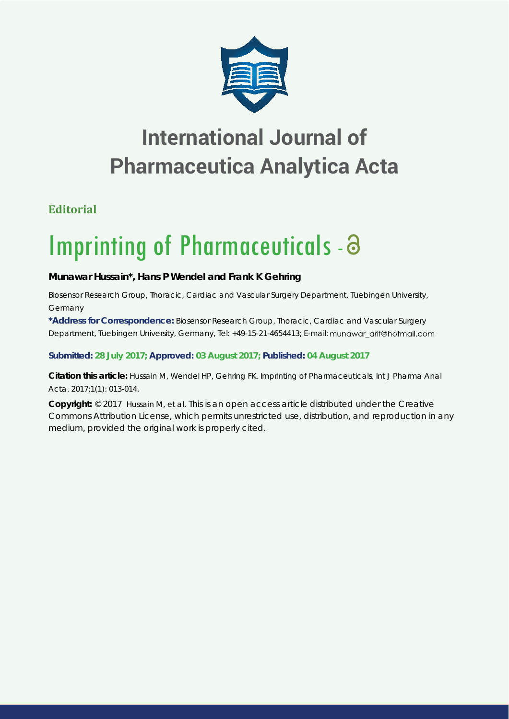

## **International Journal of Pharmaceutica Analytica Acta**

## **Editorial**

# Imprinting of Pharmaceuticals - a

### **Munawar Hussain\*, Hans P Wendel and Frank K Gehring**

*Biosensor Research Group, Thoracic, Cardiac and Vascular Surgery Department, Tuebingen University, Germany*

**\*Address for Correspondence:** Biosensor Research Group, Thoracic, Cardiac and Vascular Surgery Department, Tuebingen University, Germany, Tel: +49-15-21-4654413; E-mail: mungwar arif@hotmail.com

#### **Submitted: 28 July 2017; Approved: 03 August 2017; Published: 04 August 2017**

**Citation this article:** Hussain M, Wendel HP, Gehring FK. Imprinting of Pharmaceuticals. Int J Pharma Anal Acta. 2017;1(1): 013-014.

**Copyright:** © 2017 Hussain M, et al. This is an open access article distributed under the Creative Commons Attribution License, which permits unrestricted use, distribution, and reproduction in any medium, provided the original work is properly cited.